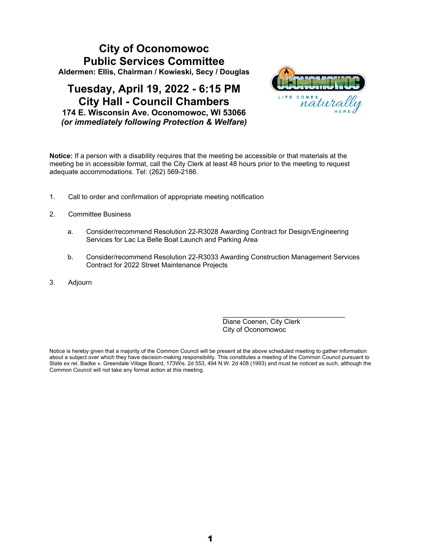# **City of Oconomowoc Public Services Committee Aldermen: Ellis, Chairman / Kowieski, Secy / Douglas**

# **Tuesday, April 19, 2022 - 6:15 PM City Hall - Council Chambers 174 E. Wisconsin Ave. Oconomowoc, WI 53066** *(or immediately following Protection & Welfare)*



**Notice:** If a person with a disability requires that the meeting be accessible or that materials at the meeting be in accessible format, call the City Clerk at least 48 hours prior to the meeting to request adequate accommodations. Tel: (262) 569-2186.

- 1. Call to order and confirmation of appropriate meeting notification
- 2. Committee Business
	- a. Consider/recommend Resolution 22-R3028 Awarding Contract for Design/Engineering Services for Lac La Belle Boat Launch and Parking Area
	- b. Consider/recommend Resolution 22-R3033 Awarding Construction Management Services Contract for 2022 Street Maintenance Projects
- 3. Adjourn

Diane Coenen, City Clerk City of Oconomowoc

\_\_\_\_\_\_\_\_\_\_\_\_\_\_\_\_\_\_\_\_\_\_\_\_\_\_\_\_\_\_\_\_

Notice is hereby given that a majority of the Common Council will be present at the above scheduled meeting to gather information about a subject over which they have decision-making responsibility. This constitutes a meeting of the Common Council pursuant to State ex rel. Badke v. Greendale Village Board, 173Wis. 2d 553, 494 N.W. 2d 408 (1993) and must be noticed as such, although the Common Council will not take any formal action at this meeting.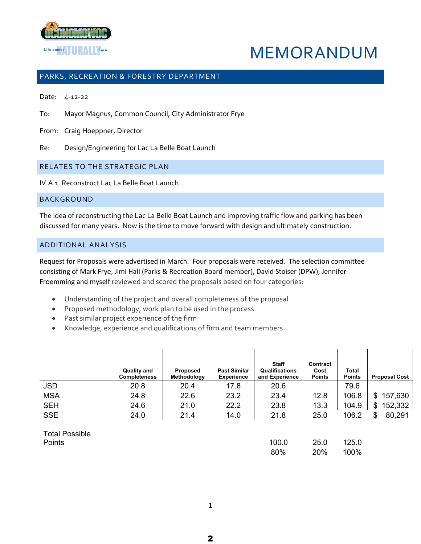

# MEMORANDUM

## PARKS, RECREATION & FORESTRY DEPARTMENT

Date: 4-12-22

To: Mayor Magnus, Common Council, City Administrator Frye

From: Craig Hoeppner, Director

Re: Design/Engineering for Lac La Belle Boat Launch

## RELATES TO THE STRATEGIC PLAN

IV.A.1. Reconstruct Lac La Belle Boat Launch

## BACKGROUND

The idea of reconstructing the Lac La Belle Boat Launch and improving traffic flow and parking has been discussed for many years. Now is the time to move forward with design and ultimately construction.

## ADDITIONAL ANALYSIS

Request for Proposals were advertised in March. Four proposals were received. The selection committee consisting of Mark Frye, Jimi Hall (Parks & Recreation Board member), David Stoiser (DPW), Jennifer Froemming and myself reviewed and scored the proposals based on four categories:

- Understanding of the project and overall completeness of the proposal
- Proposed methodology, work plan to be used in the process
- Past similar project experience of the firm
- Knowledge, experience and qualifications of firm and team members

|            | <b>Quality and</b><br><b>Completeness</b> | <b>Proposed</b><br>Methodology | <b>Past Similar</b><br><b>Experience</b> | <b>Staff</b><br>Qualifications<br>and Experience | Contract<br>Cost<br><b>Points</b> | Total<br><b>Points</b> | <b>Proposal Cost</b> |
|------------|-------------------------------------------|--------------------------------|------------------------------------------|--------------------------------------------------|-----------------------------------|------------------------|----------------------|
| <b>JSD</b> | 20.8                                      | 20.4                           | 17.8                                     | 20.6                                             |                                   | 79.6                   |                      |
| <b>MSA</b> | 24.8                                      | 22.6                           | 23.2                                     | 23.4                                             | 12.8                              | 106.8                  | 157,630<br>\$.       |
| <b>SEH</b> | 24.6                                      | 21.0                           | 22.2                                     | 23.8                                             | 13.3                              | 104.9                  | 152,332<br>\$        |
| <b>SSE</b> | 24.0                                      | 21.4                           | 14.0                                     | 21.8                                             | 25.0                              | 106.2                  | 80,291               |

Total Possible

| Points | 100.0 25.0 125.0 |  |
|--------|------------------|--|
|        | 80% 20% 100%     |  |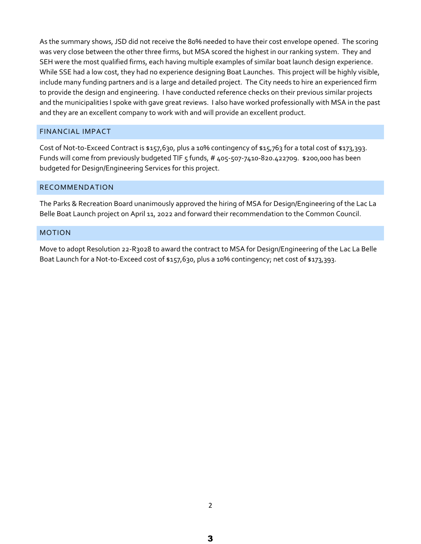As the summary shows, JSD did not receive the 80% needed to have their cost envelope opened. The scoring was very close between the other three firms, but MSA scored the highest in our ranking system. They and SEH were the most qualified firms, each having multiple examples of similar boat launch design experience. While SSE had a low cost, they had no experience designing Boat Launches. This project will be highly visible, include many funding partners and is a large and detailed project. The City needs to hire an experienced firm to provide the design and engineering. I have conducted reference checks on their previous similar projects and the municipalities I spoke with gave great reviews. I also have worked professionally with MSA in the past and they are an excellent company to work with and will provide an excellent product.

## FINANCIAL IMPACT

Cost of Not-to-Exceed Contract is \$157,630, plus a 10% contingency of \$15,763 for a total cost of \$173,393. Funds will come from previously budgeted TIF 5 funds, # 405-507-7410-820.422709. \$200,000 has been budgeted for Design/Engineering Services for this project.

## RECOMMENDATION

The Parks & Recreation Board unanimously approved the hiring of MSA for Design/Engineering of the Lac La Belle Boat Launch project on April 11, 2022 and forward their recommendation to the Common Council.

#### MOTION

Move to adopt Resolution 22-R3028 to award the contract to MSA for Design/Engineering of the Lac La Belle Boat Launch for a Not-to-Exceed cost of \$157,630, plus a 10% contingency; net cost of \$173,393.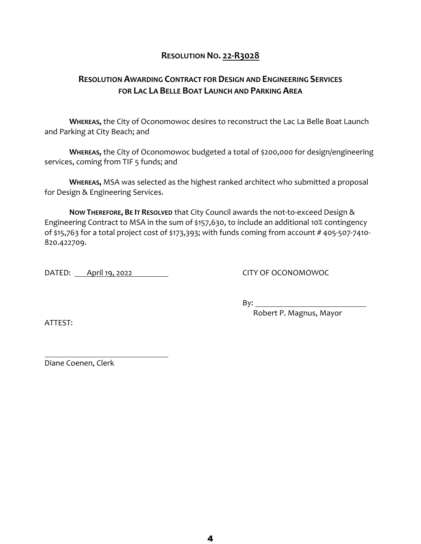## **RESOLUTION NO. 22-R3028**

# **RESOLUTION AWARDING CONTRACT FOR DESIGN AND ENGINEERING SERVICES FOR LAC LA BELLE BOAT LAUNCH AND PARKING AREA**

**WHEREAS,** the City of Oconomowoc desires to reconstruct the Lac La Belle Boat Launch and Parking at City Beach; and

**WHEREAS,** the City of Oconomowoc budgeted a total of \$200,000 for design/engineering services, coming from TIF 5 funds; and

**WHEREAS,** MSA was selected as the highest ranked architect who submitted a proposal for Design & Engineering Services.

**NOW THEREFORE, BE IT RESOLVED** that City Council awards the not-to-exceed Design & Engineering Contract to MSA in the sum of \$157,630, to include an additional 10% contingency of \$15,763 for a total project cost of \$173,393; with funds coming from account # 405-507-7410- 820.422709.

DATED: April 19, 2022 CITY OF OCONOMOWOC

By:

ATTEST:

Robert P. Magnus, Mayor

Diane Coenen, Clerk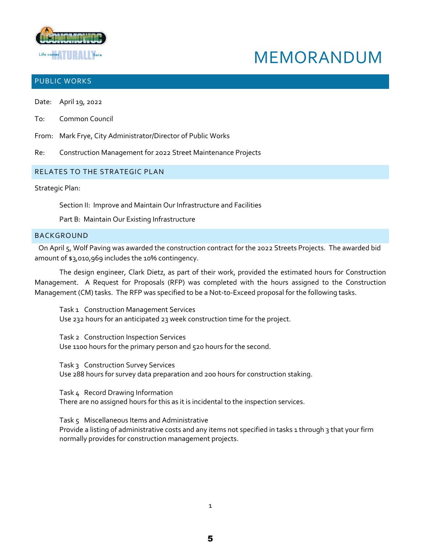

# MEMORANDUM

## PUBLIC WORKS

- Date: April 19, 2022
- To: Common Council
- From: Mark Frye, City Administrator/Director of Public Works
- Re: Construction Management for 2022 Street Maintenance Projects

## RELATES TO THE STRATEGIC PLAN

Strategic Plan:

Section II: Improve and Maintain Our Infrastructure and Facilities

Part B: Maintain Our Existing Infrastructure

### BACKGROUND

On April 5, Wolf Paving was awarded the construction contract for the 2022 Streets Projects. The awarded bid amount of \$3,010,969 includes the 10% contingency.

The design engineer, Clark Dietz, as part of their work, provided the estimated hours for Construction Management. A Request for Proposals (RFP) was completed with the hours assigned to the Construction Management (CM) tasks. The RFP was specified to be a Not-to-Exceed proposal for the following tasks.

Task 1 Construction Management Services Use 232 hours for an anticipated 23 week construction time for the project.

Task 2 Construction Inspection Services Use 1100 hours for the primary person and 520 hours for the second.

Task 3 Construction Survey Services Use 288 hours for survey data preparation and 200 hours for construction staking.

Task 4 Record Drawing Information There are no assigned hours for this as it is incidental to the inspection services.

Task 5 Miscellaneous Items and Administrative Provide a listing of administrative costs and any items not specified in tasks 1 through 3 that your firm normally provides for construction management projects.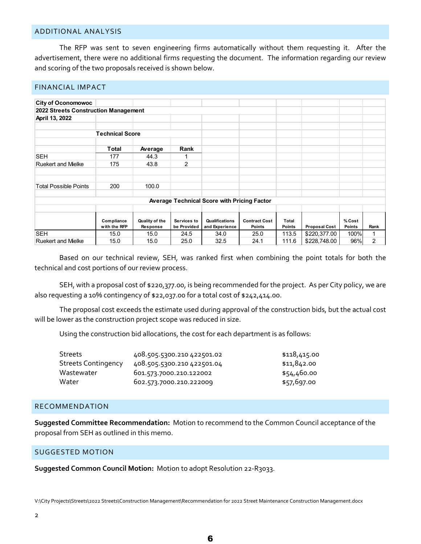#### ADDITIONAL ANALYSIS

The RFP was sent to seven engineering firms automatically without them requesting it. After the advertisement, there were no additional firms requesting the document. The information regarding our review and scoring of the two proposals received is shown below.

| <b>FINANCIAL IMPACT</b>                            |                            |                            |                            |                                  |                                |                               |                      |                         |      |
|----------------------------------------------------|----------------------------|----------------------------|----------------------------|----------------------------------|--------------------------------|-------------------------------|----------------------|-------------------------|------|
|                                                    |                            |                            |                            |                                  |                                |                               |                      |                         |      |
| <b>City of Oconomowoc</b>                          |                            |                            |                            |                                  |                                |                               |                      |                         |      |
| 2022 Streets Construction Management               |                            |                            |                            |                                  |                                |                               |                      |                         |      |
| April 13, 2022                                     |                            |                            |                            |                                  |                                |                               |                      |                         |      |
|                                                    | <b>Technical Score</b>     |                            |                            |                                  |                                |                               |                      |                         |      |
|                                                    |                            |                            |                            |                                  |                                |                               |                      |                         |      |
|                                                    | Total                      | Average                    | Rank                       |                                  |                                |                               |                      |                         |      |
| <b>SEH</b>                                         | 177                        | 44.3                       |                            |                                  |                                |                               |                      |                         |      |
| <b>Ruekert and Mielke</b>                          | 175                        | 43.8                       | $\overline{2}$             |                                  |                                |                               |                      |                         |      |
|                                                    |                            |                            |                            |                                  |                                |                               |                      |                         |      |
| <b>Total Possible Points</b>                       | 200                        | 100.0                      |                            |                                  |                                |                               |                      |                         |      |
| <b>Average Technical Score with Pricing Factor</b> |                            |                            |                            |                                  |                                |                               |                      |                         |      |
|                                                    |                            |                            |                            |                                  |                                |                               |                      |                         |      |
|                                                    | Compliance<br>with the RFP | Quality of the<br>Response | Services to<br>be Provided | Qualifications<br>and Experience | <b>Contract Cost</b><br>Points | <b>Total</b><br><b>Points</b> | <b>Proposal Cost</b> | % Cost<br><b>Points</b> | Rank |
| <b>SEH</b>                                         | 15.0                       | 15.0                       | 24.5                       | 34.0                             | 25.0                           | 113.5                         | \$220,377.00         | 100%                    | 1    |
| <b>Ruekert and Mielke</b>                          | 15.0                       | 15.0                       | 25.0                       | 32.5                             | 24.1                           | 111.6                         | \$228,748.00         | 96%                     | 2    |

Based on our technical review, SEH, was ranked first when combining the point totals for both the technical and cost portions of our review process.

SEH, with a proposal cost of \$220,377.00, is being recommended for the project. As per City policy, we are also requesting a 10% contingency of \$22,037.00 for a total cost of \$242,414.00.

The proposal cost exceeds the estimate used during approval of the construction bids, but the actual cost will be lower as the construction project scope was reduced in size.

Using the construction bid allocations, the cost for each department is as follows:

| 408.505.5300.210 422501.02 | \$118,415.00 |
|----------------------------|--------------|
| 408.505.5300.210 422501.04 | \$11,842.00  |
| 601.573.7000.210.122002    | \$54,460.00  |
| 602.573.7000.210.222009    | \$57,697.00  |
|                            |              |

## RECOMMENDATION

**Suggested Committee Recommendation:** Motion to recommend to the Common Council acceptance of the proposal from SEH as outlined in this memo.

## SUGGESTED MOTION

**Suggested Common Council Motion:** Motion to adopt Resolution 22-R3033.